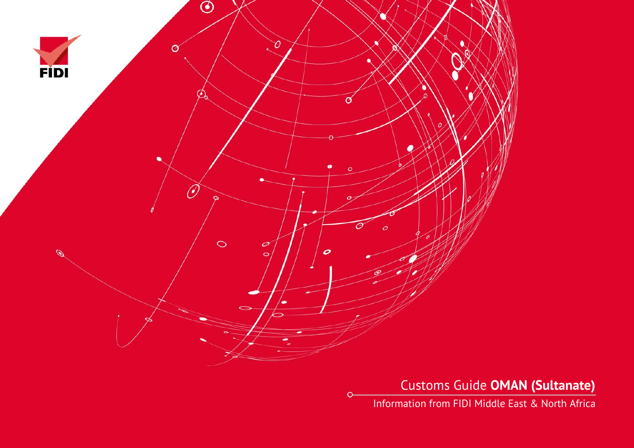

Customs Guide **OMAN (Sultanate)**

Information from FIDI Middle East & North Africa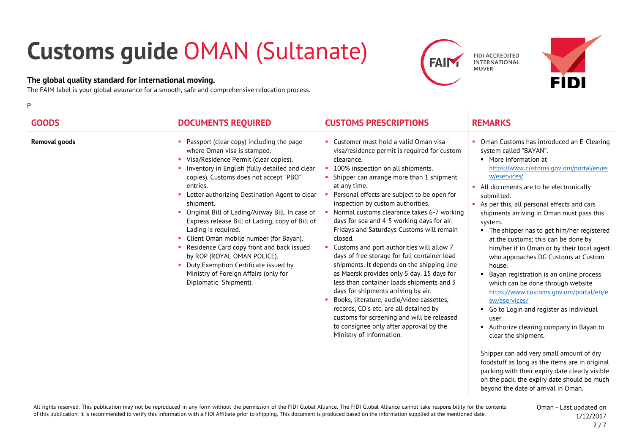## **Customs guide** OMAN (Sultanate)

## **The global quality standard for international moving.**

P

The FAIM label is your global assurance for a smooth, safe and comprehensive relocation process.





| <b>GOODS</b>         | <b>DOCUMENTS REQUIRED</b>                                                                                                                                                                                                                                                                                                                                                                                                                                                                                                                                                                                                                           | <b>CUSTOMS PRESCRIPTIONS</b>                                                                                                                                                                                                                                                                                                                                                                                                                                                                                                                                                                                                                                                                                                                                                                                                                                                                                                             | <b>REMARKS</b>                                                                                                                                                                                                                                                                                                                                                                                                                                                                                                                                                                                                                                                                                                                                                                                                                                                                                                                                                                                                        |
|----------------------|-----------------------------------------------------------------------------------------------------------------------------------------------------------------------------------------------------------------------------------------------------------------------------------------------------------------------------------------------------------------------------------------------------------------------------------------------------------------------------------------------------------------------------------------------------------------------------------------------------------------------------------------------------|------------------------------------------------------------------------------------------------------------------------------------------------------------------------------------------------------------------------------------------------------------------------------------------------------------------------------------------------------------------------------------------------------------------------------------------------------------------------------------------------------------------------------------------------------------------------------------------------------------------------------------------------------------------------------------------------------------------------------------------------------------------------------------------------------------------------------------------------------------------------------------------------------------------------------------------|-----------------------------------------------------------------------------------------------------------------------------------------------------------------------------------------------------------------------------------------------------------------------------------------------------------------------------------------------------------------------------------------------------------------------------------------------------------------------------------------------------------------------------------------------------------------------------------------------------------------------------------------------------------------------------------------------------------------------------------------------------------------------------------------------------------------------------------------------------------------------------------------------------------------------------------------------------------------------------------------------------------------------|
| <b>Removal goods</b> | Passport (clear copy) including the page<br>where Oman visa is stamped.<br>Visa/Residence Permit (clear copies).<br>Inventory in English (fully detailed and clear<br>copies). Customs does not accept "PBO"<br>entries.<br>Letter authorizing Destination Agent to clear<br>shipment.<br>Original Bill of Lading/Airway Bill. In case of<br>Express release Bill of Lading, copy of Bill of<br>Lading is required.<br>Client Oman mobile number (for Bayan).<br>Residence Card copy front and back issued<br>by ROP (ROYAL OMAN POLICE).<br>Duty Exemption Certificate issued by<br>Ministry of Foreign Affairs (only for<br>Diplomatic Shipment). | • Customer must hold a valid Oman visa -<br>visa/residence permit is required for custom<br>clearance.<br>100% inspection on all shipments.<br>Shipper can arrange more than 1 shipment<br>at any time.<br>Personal effects are subject to be open for<br>inspection by custom authorities.<br>Normal customs clearance takes 6-7 working<br>days for sea and 4-5 working days for air.<br>Fridays and Saturdays Customs will remain<br>closed.<br>Customs and port authorities will allow 7<br>days of free storage for full container load<br>shipments. It depends on the shipping line<br>as Maersk provides only 5 day. 15 days for<br>less than container loads shipments and 3<br>days for shipments arriving by air.<br>Books, literature, audio/video cassettes,<br>records, CD's etc. are all detained by<br>customs for screening and will be released<br>to consignee only after approval by the<br>Ministry of Information. | • Oman Customs has introduced an E-Clearing<br>system called "BAYAN".<br>• More information at<br>https://www.customs.gov.om/portal/en/es<br>w/eservices/<br>• All documents are to be electronically<br>submitted.<br>As per this, all personal effects and cars<br>shipments arriving in Oman must pass this<br>system.<br>• The shipper has to get him/her registered<br>at the customs; this can be done by<br>him/her if in Oman or by their local agent<br>who approaches DG Customs at Custom<br>house.<br>• Bayan registration is an online process<br>which can be done through website<br>https://www.customs.gov.om/portal/en/e<br>sw/eservices/<br>Go to Login and register as individual<br>user.<br>Authorize clearing company in Bayan to<br>clear the shipment.<br>Shipper can add very small amount of dry<br>foodstuff as long as the items are in original<br>packing with their expiry date clearly visible<br>on the pack, the expiry date should be much<br>beyond the date of arrival in Oman. |

All rights reserved. This publication may not be reproduced in any form without the permission of the FIDI Global Alliance. The FIDI Global Alliance cannot take responsibility for the contents of this publication. It is recommended to verify this information with a FIDI Affiliate prior to shipping. This document is produced based on the information supplied at the mentioned date.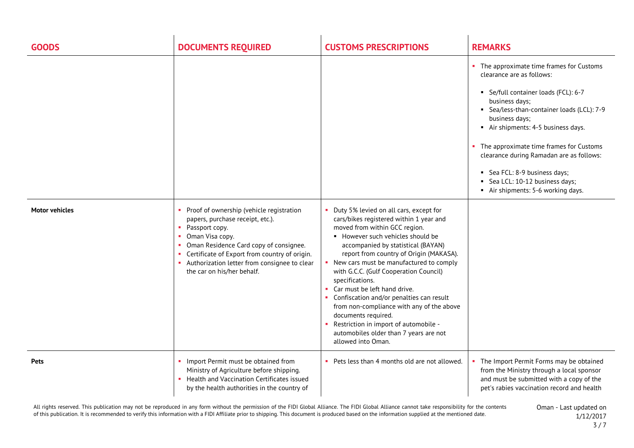| <b>GOODS</b>          | <b>DOCUMENTS REQUIRED</b>                                                                                                                                                                                                                                                                      | <b>CUSTOMS PRESCRIPTIONS</b>                                                                                                                                                                                                                                                                                                                                                                                                                                                                                                                                                                                    | <b>REMARKS</b>                                                                                                                                                                                                                                                                                                                                                                                                                   |
|-----------------------|------------------------------------------------------------------------------------------------------------------------------------------------------------------------------------------------------------------------------------------------------------------------------------------------|-----------------------------------------------------------------------------------------------------------------------------------------------------------------------------------------------------------------------------------------------------------------------------------------------------------------------------------------------------------------------------------------------------------------------------------------------------------------------------------------------------------------------------------------------------------------------------------------------------------------|----------------------------------------------------------------------------------------------------------------------------------------------------------------------------------------------------------------------------------------------------------------------------------------------------------------------------------------------------------------------------------------------------------------------------------|
|                       |                                                                                                                                                                                                                                                                                                |                                                                                                                                                                                                                                                                                                                                                                                                                                                                                                                                                                                                                 | • The approximate time frames for Customs<br>clearance are as follows:<br>Se/full container loads (FCL): 6-7<br>business days;<br>• Sea/less-than-container loads (LCL): 7-9<br>business days;<br>Air shipments: 4-5 business days.<br>• The approximate time frames for Customs<br>clearance during Ramadan are as follows:<br>Sea FCL: 8-9 business days;<br>Sea LCL: 10-12 business days;<br>Air shipments: 5-6 working days. |
| <b>Motor vehicles</b> | Proof of ownership (vehicle registration<br>papers, purchase receipt, etc.).<br>• Passport copy.<br>Oman Visa copy.<br>Oman Residence Card copy of consignee.<br>Certificate of Export from country of origin.<br>• Authorization letter from consignee to clear<br>the car on his/her behalf. | Duty 5% levied on all cars, except for<br>cars/bikes registered within 1 year and<br>moved from within GCC region.<br>• However such vehicles should be<br>accompanied by statistical (BAYAN)<br>report from country of Origin (MAKASA).<br>• New cars must be manufactured to comply<br>with G.C.C. (Gulf Cooperation Council)<br>specifications.<br>• Car must be left hand drive.<br>• Confiscation and/or penalties can result<br>from non-compliance with any of the above<br>documents required.<br>Restriction in import of automobile -<br>automobiles older than 7 years are not<br>allowed into Oman. |                                                                                                                                                                                                                                                                                                                                                                                                                                  |
| <b>Pets</b>           | Import Permit must be obtained from<br>Ministry of Agriculture before shipping.<br>Health and Vaccination Certificates issued<br>by the health authorities in the country of                                                                                                                   | • Pets less than 4 months old are not allowed.                                                                                                                                                                                                                                                                                                                                                                                                                                                                                                                                                                  | • The Import Permit Forms may be obtained<br>from the Ministry through a local sponsor<br>and must be submitted with a copy of the<br>pet's rabies vaccination record and health                                                                                                                                                                                                                                                 |

All rights reserved. This publication may not be reproduced in any form without the permission of the FIDI Global Alliance. The FIDI Global Alliance cannot take responsibility for the contents of this publication. It is recommended to verify this information with a FIDI Affiliate prior to shipping. This document is produced based on the information supplied at the mentioned date.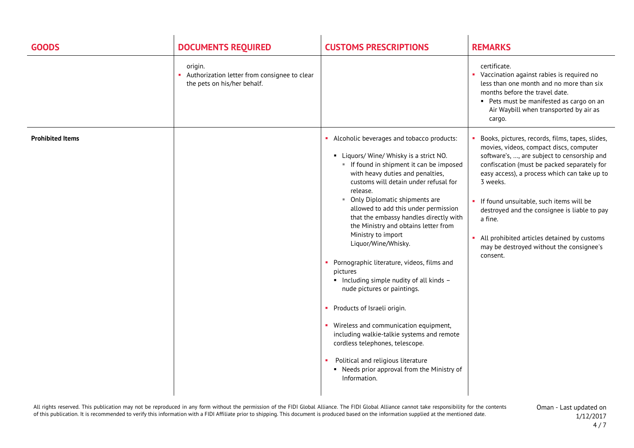| <b>GOODS</b>            | <b>DOCUMENTS REQUIRED</b>                                                              | <b>CUSTOMS PRESCRIPTIONS</b>                                                                                                                                                                                                                                                                                                                                                                                                                                                                                                                                                                                                                                                                                                                                                                                                               | <b>REMARKS</b>                                                                                                                                                                                                                                                                                                                                                                                                                                                        |
|-------------------------|----------------------------------------------------------------------------------------|--------------------------------------------------------------------------------------------------------------------------------------------------------------------------------------------------------------------------------------------------------------------------------------------------------------------------------------------------------------------------------------------------------------------------------------------------------------------------------------------------------------------------------------------------------------------------------------------------------------------------------------------------------------------------------------------------------------------------------------------------------------------------------------------------------------------------------------------|-----------------------------------------------------------------------------------------------------------------------------------------------------------------------------------------------------------------------------------------------------------------------------------------------------------------------------------------------------------------------------------------------------------------------------------------------------------------------|
|                         | origin.<br>Authorization letter from consignee to clear<br>the pets on his/her behalf. |                                                                                                                                                                                                                                                                                                                                                                                                                                                                                                                                                                                                                                                                                                                                                                                                                                            | certificate.<br>• Vaccination against rabies is required no<br>less than one month and no more than six<br>months before the travel date.<br>• Pets must be manifested as cargo on an<br>Air Waybill when transported by air as<br>cargo.                                                                                                                                                                                                                             |
| <b>Prohibited Items</b> |                                                                                        | • Alcoholic beverages and tobacco products:<br>• Liquors/Wine/Whisky is a strict NO.<br>If found in shipment it can be imposed<br>with heavy duties and penalties,<br>customs will detain under refusal for<br>release.<br>• Only Diplomatic shipments are<br>allowed to add this under permission<br>that the embassy handles directly with<br>the Ministry and obtains letter from<br>Ministry to import<br>Liquor/Wine/Whisky.<br>• Pornographic literature, videos, films and<br>pictures<br>• Including simple nudity of all kinds -<br>nude pictures or paintings.<br>• Products of Israeli origin.<br>• Wireless and communication equipment,<br>including walkie-talkie systems and remote<br>cordless telephones, telescope.<br>Political and religious literature<br>• Needs prior approval from the Ministry of<br>Information. | Books, pictures, records, films, tapes, slides,<br>movies, videos, compact discs, computer<br>software's, , are subject to censorship and<br>confiscation (must be packed separately for<br>easy access), a process which can take up to<br>3 weeks.<br>• If found unsuitable, such items will be<br>destroyed and the consignee is liable to pay<br>a fine.<br>• All prohibited articles detained by customs<br>may be destroyed without the consignee's<br>consent. |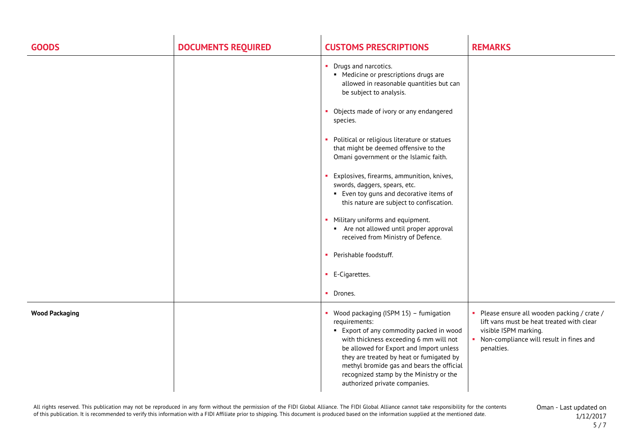| <b>GOODS</b>          | <b>DOCUMENTS REQUIRED</b> | <b>CUSTOMS PRESCRIPTIONS</b>                                                                                                                                                                                                                                                                                                                                   | <b>REMARKS</b>                                                                                                                                                              |
|-----------------------|---------------------------|----------------------------------------------------------------------------------------------------------------------------------------------------------------------------------------------------------------------------------------------------------------------------------------------------------------------------------------------------------------|-----------------------------------------------------------------------------------------------------------------------------------------------------------------------------|
|                       |                           | • Drugs and narcotics.<br>• Medicine or prescriptions drugs are<br>allowed in reasonable quantities but can<br>be subject to analysis.                                                                                                                                                                                                                         |                                                                                                                                                                             |
|                       |                           | • Objects made of ivory or any endangered<br>species.                                                                                                                                                                                                                                                                                                          |                                                                                                                                                                             |
|                       |                           | Political or religious literature or statues<br>that might be deemed offensive to the<br>Omani government or the Islamic faith.                                                                                                                                                                                                                                |                                                                                                                                                                             |
|                       |                           | Explosives, firearms, ammunition, knives,<br>swords, daggers, spears, etc.<br>• Even toy guns and decorative items of<br>this nature are subject to confiscation.                                                                                                                                                                                              |                                                                                                                                                                             |
|                       |                           | • Military uniforms and equipment.<br>Are not allowed until proper approval<br>received from Ministry of Defence.                                                                                                                                                                                                                                              |                                                                                                                                                                             |
|                       |                           | Perishable foodstuff.<br>٠                                                                                                                                                                                                                                                                                                                                     |                                                                                                                                                                             |
|                       |                           | • E-Cigarettes.                                                                                                                                                                                                                                                                                                                                                |                                                                                                                                                                             |
|                       |                           | • Drones.                                                                                                                                                                                                                                                                                                                                                      |                                                                                                                                                                             |
| <b>Wood Packaging</b> |                           | • Wood packaging (ISPM 15) - fumigation<br>requirements:<br>■ Export of any commodity packed in wood<br>with thickness exceeding 6 mm will not<br>be allowed for Export and Import unless<br>they are treated by heat or fumigated by<br>methyl bromide gas and bears the official<br>recognized stamp by the Ministry or the<br>authorized private companies. | Please ensure all wooden packing / crate /<br>lift vans must be heat treated with clear<br>visible ISPM marking.<br>• Non-compliance will result in fines and<br>penalties. |

All rights reserved. This publication may not be reproduced in any form without the permission of the FIDI Global Alliance. The FIDI Global Alliance cannot take responsibility for the contents of this publication. It is recommended to verify this information with a FIDI Affiliate prior to shipping. This document is produced based on the information supplied at the mentioned date.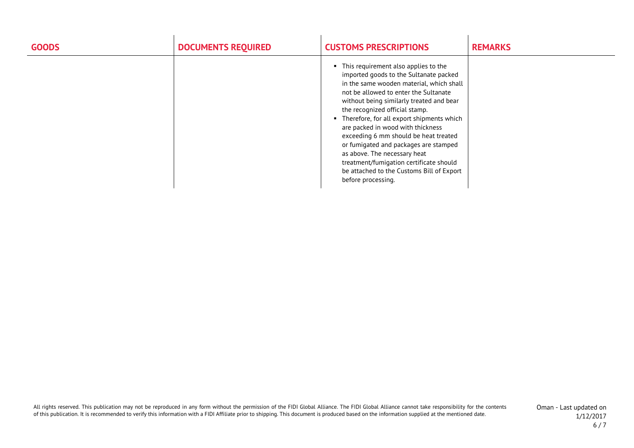| <b>GOODS</b> | <b>DOCUMENTS REQUIRED</b> | <b>CUSTOMS PRESCRIPTIONS</b>                                                                                                                                                                                                                                                                                                                                                                                                                                                                                                                                            | <b>REMARKS</b> |
|--------------|---------------------------|-------------------------------------------------------------------------------------------------------------------------------------------------------------------------------------------------------------------------------------------------------------------------------------------------------------------------------------------------------------------------------------------------------------------------------------------------------------------------------------------------------------------------------------------------------------------------|----------------|
|              |                           | • This requirement also applies to the<br>imported goods to the Sultanate packed<br>in the same wooden material, which shall<br>not be allowed to enter the Sultanate<br>without being similarly treated and bear<br>the recognized official stamp.<br>• Therefore, for all export shipments which<br>are packed in wood with thickness<br>exceeding 6 mm should be heat treated<br>or fumigated and packages are stamped<br>as above. The necessary heat<br>treatment/fumigation certificate should<br>be attached to the Customs Bill of Export<br>before processing. |                |